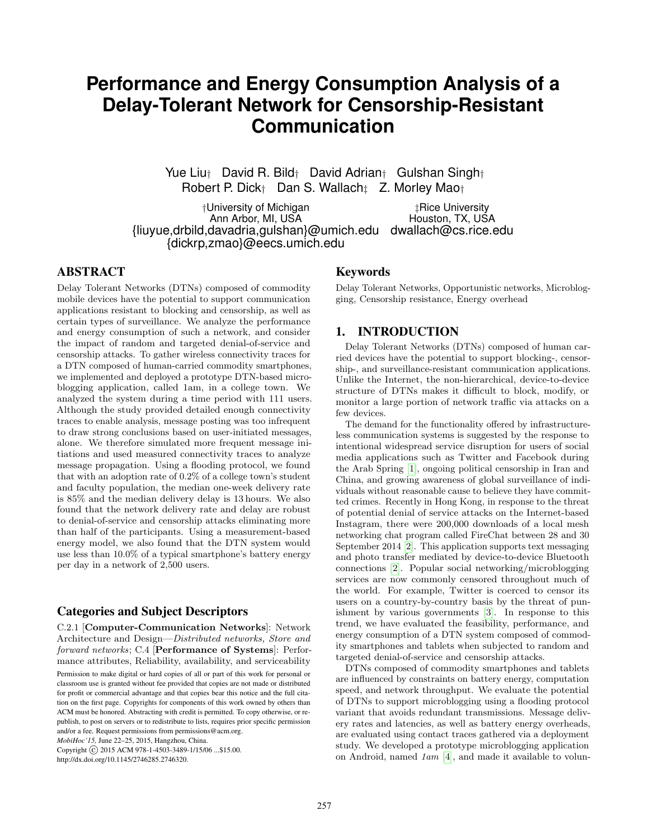# **Performance and Energy Consumption Analysis of a Delay-Tolerant Network for Censorship-Resistant Communication**

Yue Liu† David R. Bild† David Adrian† Gulshan Singh† Robert P. Dick<sup>†</sup> Dan S. Wallach<sup>†</sup> Z. Morley Mao†

†University of Michigan ‡Rice University Ann Arbor, MI, USA **Houston, TX, USA** {liuyue,drbild,davadria,gulshan}@umich.edu dwallach@cs.rice.edu {dickrp,zmao}@eecs.umich.edu

## ABSTRACT

Delay Tolerant Networks (DTNs) composed of commodity mobile devices have the potential to support communication applications resistant to blocking and censorship, as well as certain types of surveillance. We analyze the performance and energy consumption of such a network, and consider the impact of random and targeted denial-of-service and censorship attacks. To gather wireless connectivity traces for a DTN composed of human-carried commodity smartphones, we implemented and deployed a prototype DTN-based microblogging application, called 1am, in a college town. We analyzed the system during a time period with 111 users. Although the study provided detailed enough connectivity traces to enable analysis, message posting was too infrequent to draw strong conclusions based on user-initiated messages, alone. We therefore simulated more frequent message initiations and used measured connectivity traces to analyze message propagation. Using a flooding protocol, we found that with an adoption rate of 0.2% of a college town's student and faculty population, the median one-week delivery rate is 85% and the median delivery delay is 13 hours. We also found that the network delivery rate and delay are robust to denial-of-service and censorship attacks eliminating more than half of the participants. Using a measurement-based energy model, we also found that the DTN system would use less than 10.0% of a typical smartphone's battery energy per day in a network of 2,500 users.

# Categories and Subject Descriptors

C.2.1 [Computer-Communication Networks]: Network Architecture and Design—Distributed networks, Store and forward networks; C.4 [Performance of Systems]: Performance attributes, Reliability, availability, and serviceability

Permission to make digital or hard copies of all or part of this work for personal or classroom use is granted without fee provided that copies are not made or distributed for profit or commercial advantage and that copies bear this notice and the full citation on the first page. Copyrights for components of this work owned by others than ACM must be honored. Abstracting with credit is permitted. To copy otherwise, or republish, to post on servers or to redistribute to lists, requires prior specific permission and/or a fee. Request permissions from permissions@acm.org.

*MobiHoc'15,* June 22–25, 2015, Hangzhou, China.

Copyright (C) 2015 ACM 978-1-4503-3489-1/15/06 ...\$15.00. http://dx.doi.org/10.1145/2746285.2746320.

## Keywords

Delay Tolerant Networks, Opportunistic networks, Microblogging, Censorship resistance, Energy overhead

# 1. INTRODUCTION

Delay Tolerant Networks (DTNs) composed of human carried devices have the potential to support blocking-, censorship-, and surveillance-resistant communication applications. Unlike the Internet, the non-hierarchical, device-to-device structure of DTNs makes it difficult to block, modify, or monitor a large portion of network traffic via attacks on a few devices.

The demand for the functionality offered by infrastructureless communication systems is suggested by the response to intentional widespread service disruption for users of social media applications such as Twitter and Facebook during the Arab Spring [\[1\]](#page-9-0), ongoing political censorship in Iran and China, and growing awareness of global surveillance of individuals without reasonable cause to believe they have committed crimes. Recently in Hong Kong, in response to the threat of potential denial of service attacks on the Internet-based Instagram, there were 200,000 downloads of a local mesh networking chat program called FireChat between 28 and 30 September 2014 [\[2\]](#page-9-1). This application supports text messaging and photo transfer mediated by device-to-device Bluetooth connections [\[2\]](#page-9-1). Popular social networking/microblogging services are now commonly censored throughout much of the world. For example, Twitter is coerced to censor its users on a country-by-country basis by the threat of punishment by various governments [\[3\]](#page-9-2). In response to this trend, we have evaluated the feasibility, performance, and energy consumption of a DTN system composed of commodity smartphones and tablets when subjected to random and targeted denial-of-service and censorship attacks.

DTNs composed of commodity smartphones and tablets are influenced by constraints on battery energy, computation speed, and network throughput. We evaluate the potential of DTNs to support microblogging using a flooding protocol variant that avoids redundant transmissions. Message delivery rates and latencies, as well as battery energy overheads, are evaluated using contact traces gathered via a deployment study. We developed a prototype microblogging application on Android, named 1am [\[4\]](#page-9-3), and made it available to volun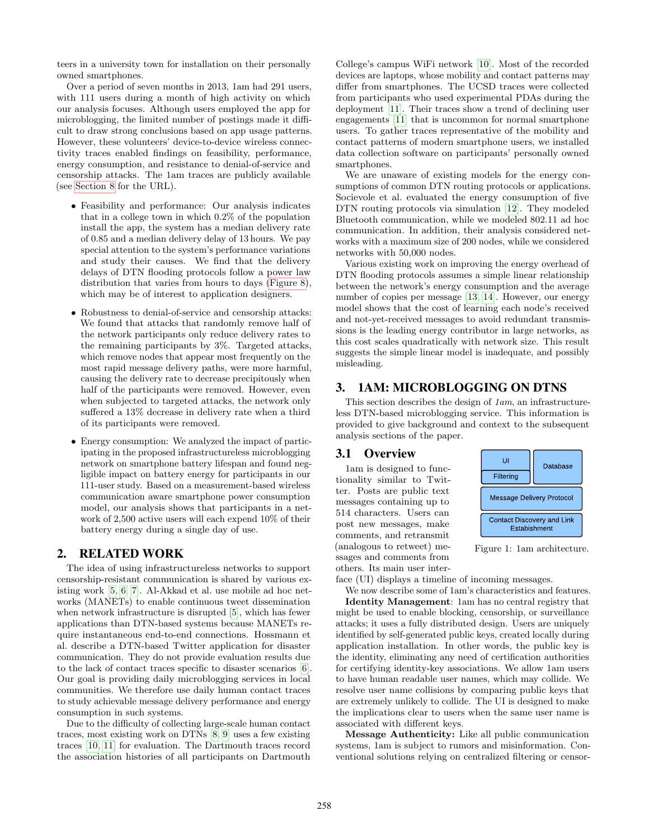teers in a university town for installation on their personally owned smartphones.

Over a period of seven months in 2013, 1am had 291 users, with 111 users during a month of high activity on which our analysis focuses. Although users employed the app for microblogging, the limited number of postings made it difficult to draw strong conclusions based on app usage patterns. However, these volunteers' device-to-device wireless connectivity traces enabled findings on feasibility, performance, energy consumption, and resistance to denial-of-service and censorship attacks. The 1am traces are publicly available (see [Section 8](#page-8-0) for the URL).

- Feasibility and performance: Our analysis indicates that in a college town in which 0.2% of the population install the app, the system has a median delivery rate of 0.85 and a median delivery delay of 13 hours. We pay special attention to the system's performance variations and study their causes. We find that the delivery delays of DTN flooding protocols follow a power law distribution that varies from hours to days [\(Figure 8\)](#page-5-0), which may be of interest to application designers.
- Robustness to denial-of-service and censorship attacks: We found that attacks that randomly remove half of the network participants only reduce delivery rates to the remaining participants by 3%. Targeted attacks, which remove nodes that appear most frequently on the most rapid message delivery paths, were more harmful, causing the delivery rate to decrease precipitously when half of the participants were removed. However, even when subjected to targeted attacks, the network only suffered a 13% decrease in delivery rate when a third of its participants were removed.
- Energy consumption: We analyzed the impact of participating in the proposed infrastructureless microblogging network on smartphone battery lifespan and found negligible impact on battery energy for participants in our 111-user study. Based on a measurement-based wireless communication aware smartphone power consumption model, our analysis shows that participants in a network of 2,500 active users will each expend 10% of their battery energy during a single day of use.

## 2. RELATED WORK

The idea of using infrastructureless networks to support censorship-resistant communication is shared by various existing work [\[5,](#page-9-4) [6,](#page-9-5) [7\]](#page-9-6). Al-Akkad et al. use mobile ad hoc networks (MANETs) to enable continuous tweet dissemination when network infrastructure is disrupted [\[5\]](#page-9-4), which has fewer applications than DTN-based systems because MANETs require instantaneous end-to-end connections. Hossmann et al. describe a DTN-based Twitter application for disaster communication. They do not provide evaluation results due to the lack of contact traces specific to disaster scenarios [\[6\]](#page-9-5). Our goal is providing daily microblogging services in local communities. We therefore use daily human contact traces to study achievable message delivery performance and energy consumption in such systems.

Due to the difficulty of collecting large-scale human contact traces, most existing work on DTNs [\[8,](#page-9-7) [9\]](#page-9-8) uses a few existing traces [\[10,](#page-9-9) [11\]](#page-9-10) for evaluation. The Dartmouth traces record the association histories of all participants on Dartmouth College's campus WiFi network [\[10\]](#page-9-9). Most of the recorded devices are laptops, whose mobility and contact patterns may differ from smartphones. The UCSD traces were collected from participants who used experimental PDAs during the deployment [\[11\]](#page-9-10). Their traces show a trend of declining user engagements [\[11\]](#page-9-10) that is uncommon for normal smartphone users. To gather traces representative of the mobility and contact patterns of modern smartphone users, we installed data collection software on participants' personally owned smartphones.

We are unaware of existing models for the energy consumptions of common DTN routing protocols or applications. Socievole et al. evaluated the energy consumption of five DTN routing protocols via simulation [\[12\]](#page-9-11). They modeled Bluetooth communication, while we modeled 802.11 ad hoc communication. In addition, their analysis considered networks with a maximum size of 200 nodes, while we considered networks with 50,000 nodes.

Various existing work on improving the energy overhead of DTN flooding protocols assumes a simple linear relationship between the network's energy consumption and the average number of copies per message [\[13,](#page-9-12) [14\]](#page-9-13). However, our energy model shows that the cost of learning each node's received and not-yet-received messages to avoid redundant transmissions is the leading energy contributor in large networks, as this cost scales quadratically with network size. This result suggests the simple linear model is inadequate, and possibly misleading.

# 3. 1AM: MICROBLOGGING ON DTNS

This section describes the design of  $1am$ , an infrastructureless DTN-based microblogging service. This information is provided to give background and context to the subsequent analysis sections of the paper.

#### 3.1 Overview

1am is designed to functionality similar to Twitter. Posts are public text messages containing up to 514 characters. Users can post new messages, make comments, and retransmit (analogous to retweet) messages and comments from others. Its main user inter-

<span id="page-1-0"></span>

Figure 1: 1am architecture.

face (UI) displays a timeline of incoming messages.

We now describe some of 1am's characteristics and features. Identity Management: 1am has no central registry that might be used to enable blocking, censorship, or surveillance attacks; it uses a fully distributed design. Users are uniquely identified by self-generated public keys, created locally during application installation. In other words, the public key is the identity, eliminating any need of certification authorities for certifying identity-key associations. We allow 1am users to have human readable user names, which may collide. We resolve user name collisions by comparing public keys that are extremely unlikely to collide. The UI is designed to make the implications clear to users when the same user name is associated with different keys.

Message Authenticity: Like all public communication systems, 1am is subject to rumors and misinformation. Conventional solutions relying on centralized filtering or censor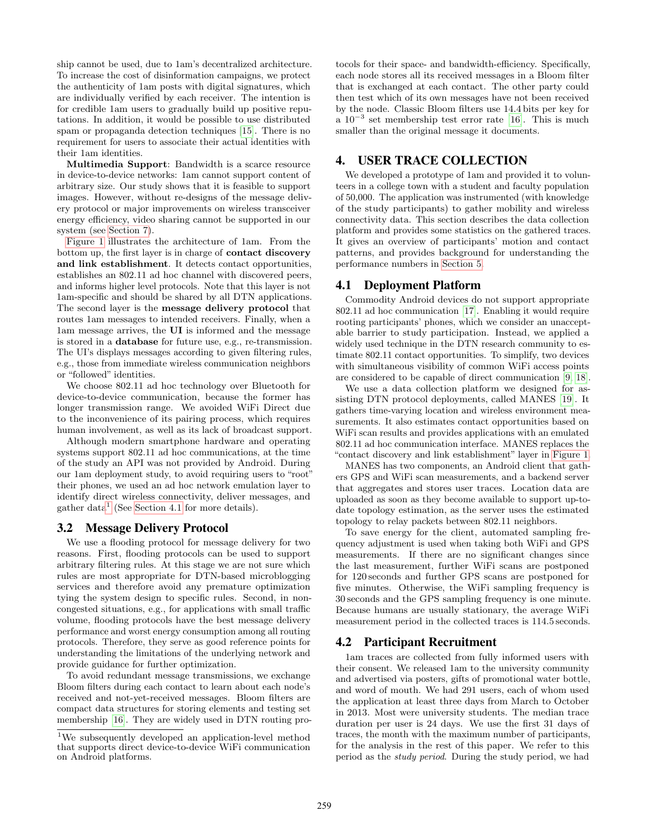ship cannot be used, due to 1am's decentralized architecture. To increase the cost of disinformation campaigns, we protect the authenticity of 1am posts with digital signatures, which are individually verified by each receiver. The intention is for credible 1am users to gradually build up positive reputations. In addition, it would be possible to use distributed spam or propaganda detection techniques [\[15\]](#page-9-14). There is no requirement for users to associate their actual identities with their 1am identities.

Multimedia Support: Bandwidth is a scarce resource in device-to-device networks: 1am cannot support content of arbitrary size. Our study shows that it is feasible to support images. However, without re-designs of the message delivery protocol or major improvements on wireless transceiver energy efficiency, video sharing cannot be supported in our system (see [Section 7\)](#page-7-0).

[Figure 1](#page-1-0) illustrates the architecture of 1am. From the bottom up, the first layer is in charge of contact discovery and link establishment. It detects contact opportunities, establishes an 802.11 ad hoc channel with discovered peers, and informs higher level protocols. Note that this layer is not 1am-specific and should be shared by all DTN applications. The second layer is the message delivery protocol that routes 1am messages to intended receivers. Finally, when a 1am message arrives, the UI is informed and the message is stored in a database for future use, e.g., re-transmission. The UI's displays messages according to given filtering rules, e.g., those from immediate wireless communication neighbors or "followed" identities.

We choose 802.11 ad hoc technology over Bluetooth for device-to-device communication, because the former has longer transmission range. We avoided WiFi Direct due to the inconvenience of its pairing process, which requires human involvement, as well as its lack of broadcast support.

Although modern smartphone hardware and operating systems support 802.11 ad hoc communications, at the time of the study an API was not provided by Android. During our 1am deployment study, to avoid requiring users to "root" their phones, we used an ad hoc network emulation layer to identify direct wireless connectivity, deliver messages, and gather data<sup>[1](#page-2-0)</sup> (See [Section 4.1](#page-2-1) for more details).

## <span id="page-2-2"></span>3.2 Message Delivery Protocol

We use a flooding protocol for message delivery for two reasons. First, flooding protocols can be used to support arbitrary filtering rules. At this stage we are not sure which rules are most appropriate for DTN-based microblogging services and therefore avoid any premature optimization tying the system design to specific rules. Second, in noncongested situations, e.g., for applications with small traffic volume, flooding protocols have the best message delivery performance and worst energy consumption among all routing protocols. Therefore, they serve as good reference points for understanding the limitations of the underlying network and provide guidance for further optimization.

To avoid redundant message transmissions, we exchange Bloom filters during each contact to learn about each node's received and not-yet-received messages. Bloom filters are compact data structures for storing elements and testing set membership [\[16\]](#page-9-15). They are widely used in DTN routing protocols for their space- and bandwidth-efficiency. Specifically, each node stores all its received messages in a Bloom filter that is exchanged at each contact. The other party could then test which of its own messages have not been received by the node. Classic Bloom filters use 14.4 bits per key for a  $10^{-3}$  set membership test error rate [\[16\]](#page-9-15). This is much smaller than the original message it documents.

## 4. USER TRACE COLLECTION

We developed a prototype of 1am and provided it to volunteers in a college town with a student and faculty population of 50,000. The application was instrumented (with knowledge of the study participants) to gather mobility and wireless connectivity data. This section describes the data collection platform and provides some statistics on the gathered traces. It gives an overview of participants' motion and contact patterns, and provides background for understanding the performance numbers in [Section 5.](#page-4-0)

## <span id="page-2-1"></span>4.1 Deployment Platform

Commodity Android devices do not support appropriate 802.11 ad hoc communication [\[17\]](#page-9-16). Enabling it would require rooting participants' phones, which we consider an unacceptable barrier to study participation. Instead, we applied a widely used technique in the DTN research community to estimate 802.11 contact opportunities. To simplify, two devices with simultaneous visibility of common WiFi access points are considered to be capable of direct communication [\[9,](#page-9-8) [18\]](#page-9-17).

We use a data collection platform we designed for assisting DTN protocol deployments, called MANES [\[19\]](#page-9-18). It gathers time-varying location and wireless environment measurements. It also estimates contact opportunities based on WiFi scan results and provides applications with an emulated 802.11 ad hoc communication interface. MANES replaces the "contact discovery and link establishment" layer in [Figure 1.](#page-1-0)

MANES has two components, an Android client that gathers GPS and WiFi scan measurements, and a backend server that aggregates and stores user traces. Location data are uploaded as soon as they become available to support up-todate topology estimation, as the server uses the estimated topology to relay packets between 802.11 neighbors.

To save energy for the client, automated sampling frequency adjustment is used when taking both WiFi and GPS measurements. If there are no significant changes since the last measurement, further WiFi scans are postponed for 120 seconds and further GPS scans are postponed for five minutes. Otherwise, the WiFi sampling frequency is 30 seconds and the GPS sampling frequency is one minute. Because humans are usually stationary, the average WiFi measurement period in the collected traces is 114.5 seconds.

## 4.2 Participant Recruitment

1am traces are collected from fully informed users with their consent. We released 1am to the university community and advertised via posters, gifts of promotional water bottle, and word of mouth. We had 291 users, each of whom used the application at least three days from March to October in 2013. Most were university students. The median trace duration per user is 24 days. We use the first 31 days of traces, the month with the maximum number of participants, for the analysis in the rest of this paper. We refer to this period as the study period. During the study period, we had

<span id="page-2-0"></span> $^{1}\mathrm{We}$  subsequently developed an application-level method that supports direct device-to-device WiFi communication on Android platforms.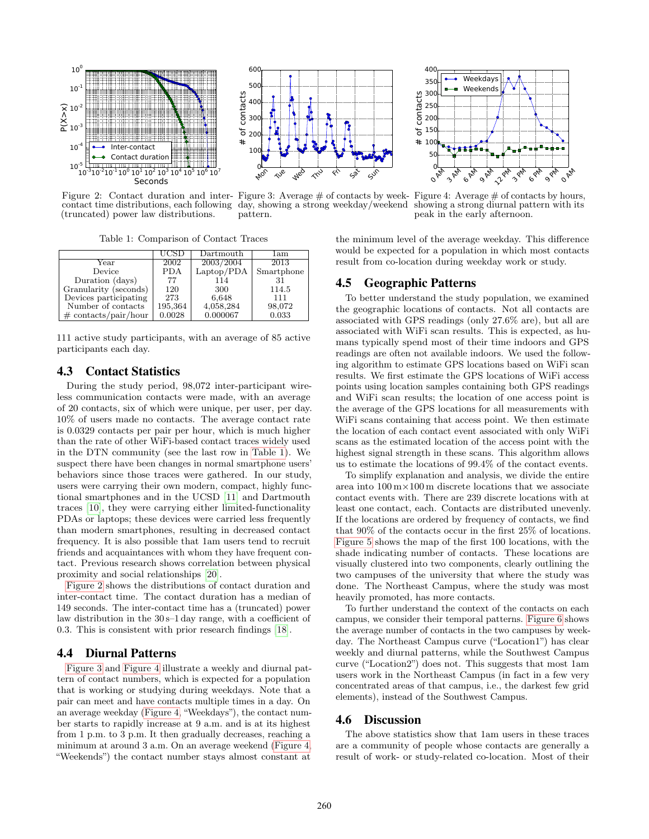<span id="page-3-1"></span>

Figure 2: Contact duration and inter-Figure 3: Average # of contacts by weekcontact time distributions, each following (truncated) power law distributions. day, showing a strong weekday/weekend pattern.

Table 1: Comparison of Contact Traces

<span id="page-3-0"></span>

|                         | UCSD    | $\rm{Dartmouth}$ | lam        |
|-------------------------|---------|------------------|------------|
| Year                    | 2002    | 2003/2004        | 2013       |
| Device                  | PDA     | Laptop/PDA       | Smartphone |
| Duration (days)         | 77      | 114              | 31         |
| Granularity (seconds)   | 120     | 300              | 114.5      |
| Devices participating   | 273     | 6,648            | 111        |
| Number of contacts      | 195,364 | 4,058,284        | 98,072     |
| $\#$ contacts/pair/hour | 0.0028  | 0.000067         | 0.033      |

111 active study participants, with an average of 85 active participants each day.

# 4.3 Contact Statistics

During the study period, 98,072 inter-participant wireless communication contacts were made, with an average of 20 contacts, six of which were unique, per user, per day. 10% of users made no contacts. The average contact rate is 0.0329 contacts per pair per hour, which is much higher than the rate of other WiFi-based contact traces widely used in the DTN community (see the last row in [Table 1\)](#page-3-0). We suspect there have been changes in normal smartphone users' behaviors since those traces were gathered. In our study, users were carrying their own modern, compact, highly functional smartphones and in the UCSD [\[11\]](#page-9-10) and Dartmouth traces [\[10\]](#page-9-9), they were carrying either limited-functionality PDAs or laptops; these devices were carried less frequently than modern smartphones, resulting in decreased contact frequency. It is also possible that 1am users tend to recruit friends and acquaintances with whom they have frequent contact. Previous research shows correlation between physical proximity and social relationships [\[20\]](#page-9-19).

[Figure 2](#page-3-1) shows the distributions of contact duration and inter-contact time. The contact duration has a median of 149 seconds. The inter-contact time has a (truncated) power law distribution in the 30 s–1 day range, with a coefficient of 0.3. This is consistent with prior research findings [\[18\]](#page-9-17).

# 4.4 Diurnal Patterns

[Figure 3](#page-3-1) and [Figure 4](#page-3-1) illustrate a weekly and diurnal pattern of contact numbers, which is expected for a population that is working or studying during weekdays. Note that a pair can meet and have contacts multiple times in a day. On an average weekday [\(Figure 4,](#page-3-1) "Weekdays"), the contact number starts to rapidly increase at 9 a.m. and is at its highest from 1 p.m. to 3 p.m. It then gradually decreases, reaching a minimum at around 3 a.m. On an average weekend [\(Figure 4,](#page-3-1) "Weekends") the contact number stays almost constant at



Figure 4: Average  $\#$  of contacts by hours, showing a strong diurnal pattern with its peak in the early afternoon.

the minimum level of the average weekday. This difference would be expected for a population in which most contacts result from co-location during weekday work or study.

# 4.5 Geographic Patterns

To better understand the study population, we examined the geographic locations of contacts. Not all contacts are associated with GPS readings (only 27.6% are), but all are associated with WiFi scan results. This is expected, as humans typically spend most of their time indoors and GPS readings are often not available indoors. We used the following algorithm to estimate GPS locations based on WiFi scan results. We first estimate the GPS locations of WiFi access points using location samples containing both GPS readings and WiFi scan results; the location of one access point is the average of the GPS locations for all measurements with WiFi scans containing that access point. We then estimate the location of each contact event associated with only WiFi scans as the estimated location of the access point with the highest signal strength in these scans. This algorithm allows us to estimate the locations of 99.4% of the contact events.

To simplify explanation and analysis, we divide the entire area into  $100 \text{ m} \times 100 \text{ m}$  discrete locations that we associate contact events with. There are 239 discrete locations with at least one contact, each. Contacts are distributed unevenly. If the locations are ordered by frequency of contacts, we find that 90% of the contacts occur in the first 25% of locations. [Figure 5](#page-4-1) shows the map of the first 100 locations, with the shade indicating number of contacts. These locations are visually clustered into two components, clearly outlining the two campuses of the university that where the study was done. The Northeast Campus, where the study was most heavily promoted, has more contacts.

To further understand the context of the contacts on each campus, we consider their temporal patterns. [Figure 6](#page-4-1) shows the average number of contacts in the two campuses by weekday. The Northeast Campus curve ("Location1") has clear weekly and diurnal patterns, while the Southwest Campus curve ("Location2") does not. This suggests that most 1am users work in the Northeast Campus (in fact in a few very concentrated areas of that campus, i.e., the darkest few grid elements), instead of the Southwest Campus.

# 4.6 Discussion

The above statistics show that 1am users in these traces are a community of people whose contacts are generally a result of work- or study-related co-location. Most of their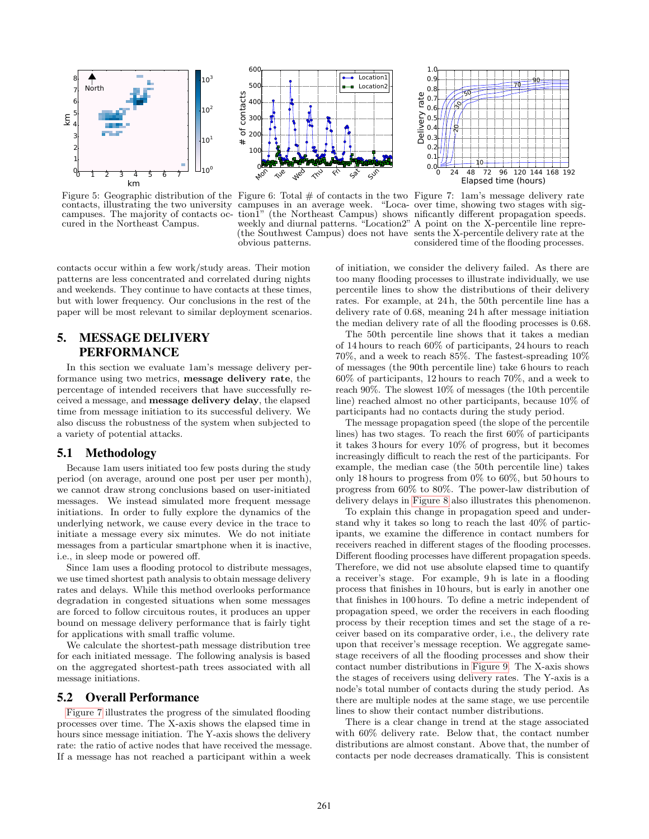<span id="page-4-1"></span>

cured in the Northeast Campus.



contacts, illustrating the two university campuses in an average week. "Loca-over time, showing two stages with sigcampuses. The majority of contacts oc-tion1" (the Northeast Campus) shows nificantly different propagation speeds. weekly and diurnal patterns. "Location2" A point on the X-percentile line repre-(the Southwest Campus) does not have obvious patterns.



Figure 5: Geographic distribution of the Figure 6: Total # of contacts in the two Figure 7: 1am's message delivery rate sents the X-percentile delivery rate at the considered time of the flooding processes.

contacts occur within a few work/study areas. Their motion patterns are less concentrated and correlated during nights and weekends. They continue to have contacts at these times, but with lower frequency. Our conclusions in the rest of the paper will be most relevant to similar deployment scenarios.

# <span id="page-4-0"></span>5. MESSAGE DELIVERY PERFORMANCE

In this section we evaluate 1am's message delivery performance using two metrics, message delivery rate, the percentage of intended receivers that have successfully received a message, and message delivery delay, the elapsed time from message initiation to its successful delivery. We also discuss the robustness of the system when subjected to a variety of potential attacks.

# 5.1 Methodology

Because 1am users initiated too few posts during the study period (on average, around one post per user per month), we cannot draw strong conclusions based on user-initiated messages. We instead simulated more frequent message initiations. In order to fully explore the dynamics of the underlying network, we cause every device in the trace to initiate a message every six minutes. We do not initiate messages from a particular smartphone when it is inactive, i.e., in sleep mode or powered off.

Since 1am uses a flooding protocol to distribute messages, we use timed shortest path analysis to obtain message delivery rates and delays. While this method overlooks performance degradation in congested situations when some messages are forced to follow circuitous routes, it produces an upper bound on message delivery performance that is fairly tight for applications with small traffic volume.

We calculate the shortest-path message distribution tree for each initiated message. The following analysis is based on the aggregated shortest-path trees associated with all message initiations.

## 5.2 Overall Performance

[Figure 7](#page-4-1) illustrates the progress of the simulated flooding processes over time. The X-axis shows the elapsed time in hours since message initiation. The Y-axis shows the delivery rate: the ratio of active nodes that have received the message. If a message has not reached a participant within a week

of initiation, we consider the delivery failed. As there are too many flooding processes to illustrate individually, we use percentile lines to show the distributions of their delivery rates. For example, at 24 h, the 50th percentile line has a delivery rate of 0.68, meaning 24 h after message initiation the median delivery rate of all the flooding processes is 0.68.

The 50th percentile line shows that it takes a median of 14 hours to reach 60% of participants, 24 hours to reach 70%, and a week to reach 85%. The fastest-spreading 10% of messages (the 90th percentile line) take 6 hours to reach 60% of participants, 12 hours to reach 70%, and a week to reach 90%. The slowest 10% of messages (the 10th percentile line) reached almost no other participants, because 10% of participants had no contacts during the study period.

The message propagation speed (the slope of the percentile lines) has two stages. To reach the first 60% of participants it takes 3 hours for every 10% of progress, but it becomes increasingly difficult to reach the rest of the participants. For example, the median case (the 50th percentile line) takes only 18 hours to progress from 0% to 60%, but 50 hours to progress from 60% to 80%. The power-law distribution of delivery delays in [Figure 8](#page-5-0) also illustrates this phenomenon.

To explain this change in propagation speed and understand why it takes so long to reach the last 40% of participants, we examine the difference in contact numbers for receivers reached in different stages of the flooding processes. Different flooding processes have different propagation speeds. Therefore, we did not use absolute elapsed time to quantify a receiver's stage. For example, 9 h is late in a flooding process that finishes in 10 hours, but is early in another one that finishes in 100 hours. To define a metric independent of propagation speed, we order the receivers in each flooding process by their reception times and set the stage of a receiver based on its comparative order, i.e., the delivery rate upon that receiver's message reception. We aggregate samestage receivers of all the flooding processes and show their contact number distributions in [Figure 9.](#page-5-0) The X-axis shows the stages of receivers using delivery rates. The Y-axis is a node's total number of contacts during the study period. As there are multiple nodes at the same stage, we use percentile lines to show their contact number distributions.

There is a clear change in trend at the stage associated with 60% delivery rate. Below that, the contact number distributions are almost constant. Above that, the number of contacts per node decreases dramatically. This is consistent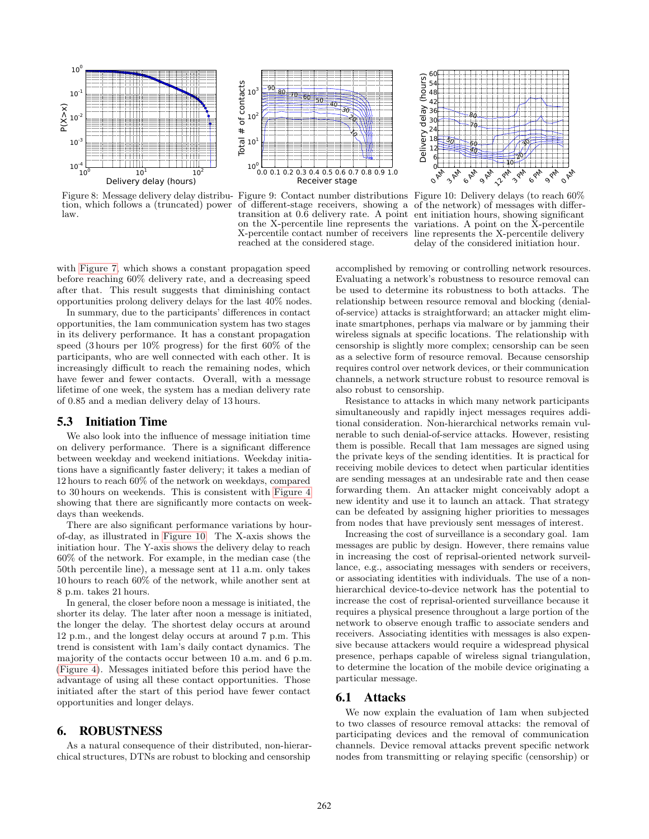<span id="page-5-0"></span>

tion, which follows a (truncated) power of different-stage receivers, showing a of the network) of messages with differlaw.



on the X-percentile line represents the X-percentile contact number of receivers reached at the considered stage.



Figure 8: Message delivery delay distribu- Figure 9: Contact number distributions Figure 10: Delivery delays (to reach 60% transition at 0.6 delivery rate. A point ent initiation hours, showing significant variations. A point on the X-percentile line represents the X-percentile delivery delay of the considered initiation hour.

with [Figure 7,](#page-4-1) which shows a constant propagation speed before reaching 60% delivery rate, and a decreasing speed after that. This result suggests that diminishing contact opportunities prolong delivery delays for the last 40% nodes.

In summary, due to the participants' differences in contact opportunities, the 1am communication system has two stages in its delivery performance. It has a constant propagation speed (3 hours per 10% progress) for the first 60% of the participants, who are well connected with each other. It is increasingly difficult to reach the remaining nodes, which have fewer and fewer contacts. Overall, with a message lifetime of one week, the system has a median delivery rate of 0.85 and a median delivery delay of 13 hours.

#### 5.3 Initiation Time

We also look into the influence of message initiation time on delivery performance. There is a significant difference between weekday and weekend initiations. Weekday initiations have a significantly faster delivery; it takes a median of 12 hours to reach 60% of the network on weekdays, compared to 30 hours on weekends. This is consistent with [Figure 4](#page-3-1) showing that there are significantly more contacts on weekdays than weekends.

There are also significant performance variations by hourof-day, as illustrated in [Figure 10.](#page-5-0) The X-axis shows the initiation hour. The Y-axis shows the delivery delay to reach 60% of the network. For example, in the median case (the 50th percentile line), a message sent at 11 a.m. only takes 10 hours to reach 60% of the network, while another sent at 8 p.m. takes 21 hours.

In general, the closer before noon a message is initiated, the shorter its delay. The later after noon a message is initiated, the longer the delay. The shortest delay occurs at around 12 p.m., and the longest delay occurs at around 7 p.m. This trend is consistent with 1am's daily contact dynamics. The majority of the contacts occur between 10 a.m. and 6 p.m. [\(Figure 4\)](#page-3-1). Messages initiated before this period have the advantage of using all these contact opportunities. Those initiated after the start of this period have fewer contact opportunities and longer delays.

#### 6. ROBUSTNESS

As a natural consequence of their distributed, non-hierarchical structures, DTNs are robust to blocking and censorship

accomplished by removing or controlling network resources. Evaluating a network's robustness to resource removal can be used to determine its robustness to both attacks. The relationship between resource removal and blocking (denialof-service) attacks is straightforward; an attacker might eliminate smartphones, perhaps via malware or by jamming their wireless signals at specific locations. The relationship with censorship is slightly more complex; censorship can be seen as a selective form of resource removal. Because censorship requires control over network devices, or their communication channels, a network structure robust to resource removal is also robust to censorship.

Resistance to attacks in which many network participants simultaneously and rapidly inject messages requires additional consideration. Non-hierarchical networks remain vulnerable to such denial-of-service attacks. However, resisting them is possible. Recall that 1am messages are signed using the private keys of the sending identities. It is practical for receiving mobile devices to detect when particular identities are sending messages at an undesirable rate and then cease forwarding them. An attacker might conceivably adopt a new identity and use it to launch an attack. That strategy can be defeated by assigning higher priorities to messages from nodes that have previously sent messages of interest.

Increasing the cost of surveillance is a secondary goal. 1am messages are public by design. However, there remains value in increasing the cost of reprisal-oriented network surveillance, e.g., associating messages with senders or receivers, or associating identities with individuals. The use of a nonhierarchical device-to-device network has the potential to increase the cost of reprisal-oriented surveillance because it requires a physical presence throughout a large portion of the network to observe enough traffic to associate senders and receivers. Associating identities with messages is also expensive because attackers would require a widespread physical presence, perhaps capable of wireless signal triangulation, to determine the location of the mobile device originating a particular message.

## 6.1 Attacks

We now explain the evaluation of 1am when subjected to two classes of resource removal attacks: the removal of participating devices and the removal of communication channels. Device removal attacks prevent specific network nodes from transmitting or relaying specific (censorship) or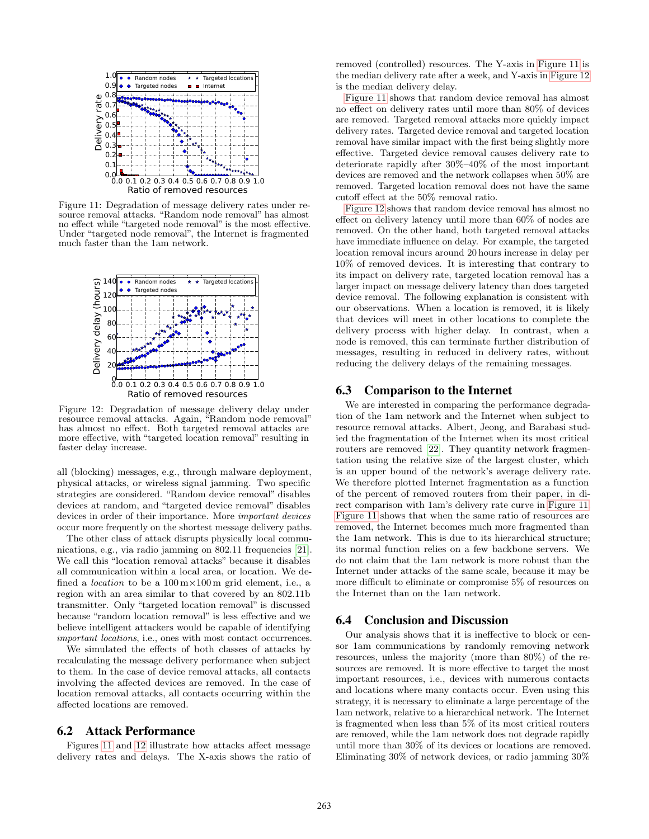<span id="page-6-0"></span>

Figure 11: Degradation of message delivery rates under resource removal attacks. "Random node removal" has almost no effect while "targeted node removal" is the most effective. Under "targeted node removal", the Internet is fragmented much faster than the 1am network.

<span id="page-6-1"></span>

Figure 12: Degradation of message delivery delay under resource removal attacks. Again, "Random node removal" has almost no effect. Both targeted removal attacks are more effective, with "targeted location removal" resulting in faster delay increase.

all (blocking) messages, e.g., through malware deployment, physical attacks, or wireless signal jamming. Two specific strategies are considered. "Random device removal" disables devices at random, and "targeted device removal" disables devices in order of their importance. More important devices occur more frequently on the shortest message delivery paths.

The other class of attack disrupts physically local commu-nications, e.g., via radio jamming on 802.11 frequencies [\[21\]](#page-9-20). We call this "location removal attacks" because it disables all communication within a local area, or location. We defined a *location* to be a  $100 \text{ m} \times 100 \text{ m}$  grid element, i.e., a region with an area similar to that covered by an 802.11b transmitter. Only "targeted location removal" is discussed because "random location removal" is less effective and we believe intelligent attackers would be capable of identifying important locations, i.e., ones with most contact occurrences.

We simulated the effects of both classes of attacks by recalculating the message delivery performance when subject to them. In the case of device removal attacks, all contacts involving the affected devices are removed. In the case of location removal attacks, all contacts occurring within the affected locations are removed.

# 6.2 Attack Performance

Figures [11](#page-6-0) and [12](#page-6-1) illustrate how attacks affect message delivery rates and delays. The X-axis shows the ratio of removed (controlled) resources. The Y-axis in [Figure 11](#page-6-0) is the median delivery rate after a week, and Y-axis in [Figure 12](#page-6-1) is the median delivery delay.

[Figure 11](#page-6-0) shows that random device removal has almost no effect on delivery rates until more than 80% of devices are removed. Targeted removal attacks more quickly impact delivery rates. Targeted device removal and targeted location removal have similar impact with the first being slightly more effective. Targeted device removal causes delivery rate to deteriorate rapidly after 30%–40% of the most important devices are removed and the network collapses when 50% are removed. Targeted location removal does not have the same cutoff effect at the 50% removal ratio.

[Figure 12](#page-6-1) shows that random device removal has almost no effect on delivery latency until more than 60% of nodes are removed. On the other hand, both targeted removal attacks have immediate influence on delay. For example, the targeted location removal incurs around 20 hours increase in delay per 10% of removed devices. It is interesting that contrary to its impact on delivery rate, targeted location removal has a larger impact on message delivery latency than does targeted device removal. The following explanation is consistent with our observations. When a location is removed, it is likely that devices will meet in other locations to complete the delivery process with higher delay. In contrast, when a node is removed, this can terminate further distribution of messages, resulting in reduced in delivery rates, without reducing the delivery delays of the remaining messages.

## 6.3 Comparison to the Internet

We are interested in comparing the performance degradation of the 1am network and the Internet when subject to resource removal attacks. Albert, Jeong, and Barabasi studied the fragmentation of the Internet when its most critical routers are removed [\[22\]](#page-9-21). They quantity network fragmentation using the relative size of the largest cluster, which is an upper bound of the network's average delivery rate. We therefore plotted Internet fragmentation as a function of the percent of removed routers from their paper, in direct comparison with 1am's delivery rate curve in [Figure 11.](#page-6-0) [Figure 11](#page-6-0) shows that when the same ratio of resources are removed, the Internet becomes much more fragmented than the 1am network. This is due to its hierarchical structure; its normal function relies on a few backbone servers. We do not claim that the 1am network is more robust than the Internet under attacks of the same scale, because it may be more difficult to eliminate or compromise 5% of resources on the Internet than on the 1am network.

#### 6.4 Conclusion and Discussion

Our analysis shows that it is ineffective to block or censor 1am communications by randomly removing network resources, unless the majority (more than 80%) of the resources are removed. It is more effective to target the most important resources, i.e., devices with numerous contacts and locations where many contacts occur. Even using this strategy, it is necessary to eliminate a large percentage of the 1am network, relative to a hierarchical network. The Internet is fragmented when less than 5% of its most critical routers are removed, while the 1am network does not degrade rapidly until more than 30% of its devices or locations are removed. Eliminating 30% of network devices, or radio jamming 30%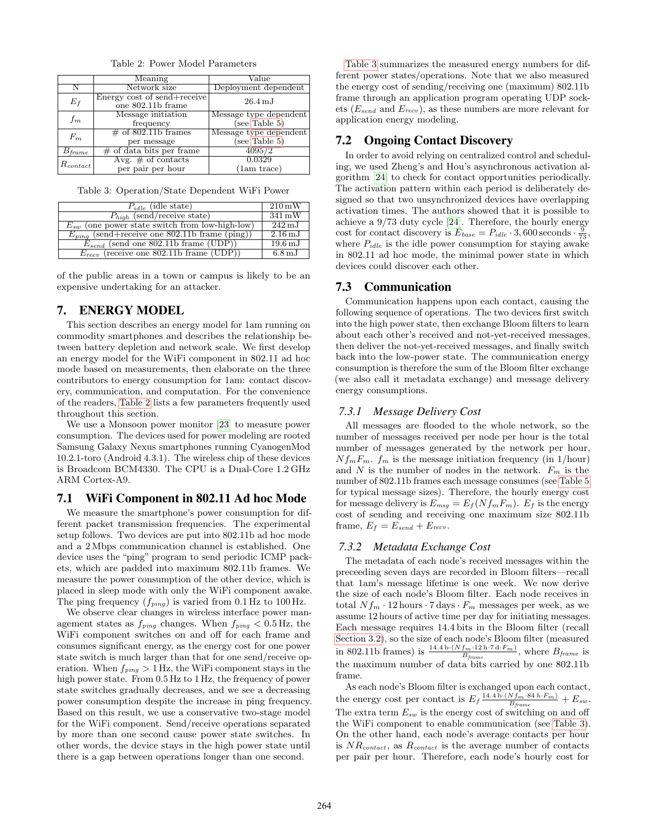Table 2: Power Model Parameters

<span id="page-7-1"></span>

|                  | Meaning                                          | Value                  |  |  |
|------------------|--------------------------------------------------|------------------------|--|--|
|                  | Network size                                     | Deployment dependent   |  |  |
| $E_{f}$          | Energy cost of send+receive<br>one 802.11b frame | $26.4\,\mathrm{mJ}$    |  |  |
| $f_m$            | Message initiation                               | Message type dependent |  |  |
|                  | frequency                                        | (see Table 5)          |  |  |
| $F_m$            | $\#$ of 802.11b frames                           | Message type dependent |  |  |
|                  | per message                                      | (see Table 5)          |  |  |
| $\sigma_{frame}$ | $#$ of data bits per frame                       | 4095/2                 |  |  |
| $R_{contact}$    | Avg. $#$ of contacts                             | 0.0329                 |  |  |
|                  | per pair per hour                                | (1am trace)            |  |  |

<span id="page-7-2"></span>Table 3: Operation/State Dependent WiFi Power

| $P_{idle}$ (idle state)                             | $210 \,\mathrm{mW}$ |
|-----------------------------------------------------|---------------------|
| $P_{high}$ (send/receive state)                     | $341 \,\mathrm{mW}$ |
| $E_{sw}$ (one power state switch from low-high-low) | $242 \,\mathrm{mJ}$ |
| $E_{ping}$ (send+receive one 802.11b frame (ping))  | $2.16\,\mathrm{mJ}$ |
| $E_{send}$ (send one 802.11b frame (UDP))           | $19.6\,\mathrm{mJ}$ |
| $E_{recv}$ (receive one 802.11b frame (UDP))        | $6.8\,\mathrm{mJ}$  |

of the public areas in a town or campus is likely to be an expensive undertaking for an attacker.

## <span id="page-7-0"></span>7. ENERGY MODEL

This section describes an energy model for 1am running on commodity smartphones and describes the relationship between battery depletion and network scale. We first develop an energy model for the WiFi component in 802.11 ad hoc mode based on measurements, then elaborate on the three contributors to energy consumption for 1am: contact discovery, communication, and computation. For the convenience of the readers, [Table 2](#page-7-1) lists a few parameters frequently used throughout this section.

We use a Monsoon power monitor [\[23\]](#page-9-22) to measure power consumption. The devices used for power modeling are rooted Samsung Galaxy Nexus smartphones running CyanogenMod 10.2.1-toro (Android 4.3.1). The wireless chip of these devices is Broadcom BCM4330. The CPU is a Dual-Core 1.2 GHz ARM Cortex-A9.

#### 7.1 WiFi Component in 802.11 Ad hoc Mode

We measure the smartphone's power consumption for different packet transmission frequencies. The experimental setup follows. Two devices are put into 802.11b ad hoc mode and a 2 Mbps communication channel is established. One device uses the "ping" program to send periodic ICMP packets, which are padded into maximum 802.11b frames. We measure the power consumption of the other device, which is placed in sleep mode with only the WiFi component awake. The ping frequency  $(f_{ping})$  is varied from 0.1 Hz to 100 Hz.

We observe clear changes in wireless interface power management states as  $f_{ping}$  changes. When  $f_{ping} < 0.5$  Hz, the WiFi component switches on and off for each frame and consumes significant energy, as the energy cost for one power state switch is much larger than that for one send/receive operation. When  $f_{ping} > 1$  Hz, the WiFi component stays in the high power state. From  $0.5$  Hz to 1 Hz, the frequency of power state switches gradually decreases, and we see a decreasing power consumption despite the increase in ping frequency. Based on this result, we use a conservative two-stage model for the WiFi component. Send/receive operations separated by more than one second cause power state switches. In other words, the device stays in the high power state until there is a gap between operations longer than one second.

[Table 3](#page-7-2) summarizes the measured energy numbers for different power states/operations. Note that we also measured the energy cost of sending/receiving one (maximum) 802.11b frame through an application program operating UDP sockets  $(E_{send}$  and  $E_{recv}$ ), as these numbers are more relevant for application energy modeling.

#### 7.2 Ongoing Contact Discovery

In order to avoid relying on centralized control and scheduling, we used Zheng's and Hou's asynchronous activation algorithm [\[24\]](#page-9-23) to check for contact opportunities periodically. The activation pattern within each period is deliberately designed so that two unsynchronized devices have overlapping activation times. The authors showed that it is possible to achieve a 9/73 duty cycle [\[24\]](#page-9-23). Therefore, the hourly energy cost for contact discovery is  $E_{base} = P_{idle} \cdot 3,600$  seconds  $\cdot \frac{9}{73}$ , where  $P_{idle}$  is the idle power consumption for staying awake in 802.11 ad hoc mode, the minimal power state in which devices could discover each other.

#### 7.3 Communication

Communication happens upon each contact, causing the following sequence of operations. The two devices first switch into the high power state, then exchange Bloom filters to learn about each other's received and not-yet-received messages, then deliver the not-yet-received messages, and finally switch back into the low-power state. The communication energy consumption is therefore the sum of the Bloom filter exchange (we also call it metadata exchange) and message delivery energy consumptions.

#### *7.3.1 Message Delivery Cost*

All messages are flooded to the whole network, so the number of messages received per node per hour is the total number of messages generated by the network per hour,  $Nf_mF_m$ .  $f_m$  is the message initiation frequency (in 1/hour) and  $N$  is the number of nodes in the network.  $F_m$  is the number of 802.11b frames each message consumes (see [Table 5](#page-8-1) for typical message sizes). Therefore, the hourly energy cost for message delivery is  $E_{msg} = E_f(Nf_mF_m)$ .  $E_f$  is the energy cost of sending and receiving one maximum size 802.11b frame,  $E_f = E_{send} + E_{recv}$ .

## *7.3.2 Metadata Exchange Cost*

The metadata of each node's received messages within the preceeding seven days are recorded in Bloom filters—recall that 1am's message lifetime is one week. We now derive the size of each node's Bloom filter. Each node receives in total  $Nf_m \cdot 12$  hours  $\cdot 7$  days  $\cdot F_m$  messages per week, as we assume 12 hours of active time per day for initiating messages. Each message requires 14.4 bits in the Bloom filter (recall [Section 3.2\)](#page-2-2), so the size of each node's Bloom filter (measured in 802.11b frames) is  $\frac{14.4 \text{ b} \cdot (Nf_m \cdot 12 \text{ h} \cdot 7 \text{ d} \cdot F_m)}{B_{frame}}$ , where  $B_{frame}$  is the maximum number of data bits carried by one 802.11b frame.

As each node's Bloom filter is exchanged upon each contact, the energy cost per contact is  $E_f \frac{14.4 \text{ b} \cdot (Nf_m \cdot 84 \text{ h} \cdot F_m)}{B_{frame}} + E_{sw}$ . The extra term  $E_{sw}$  is the energy cost of switching on and off the WiFi component to enable communication (see [Table 3\)](#page-7-2). On the other hand, each node's average contacts per hour is  $NR_{contact}$ , as  $R_{contact}$  is the average number of contacts per pair per hour. Therefore, each node's hourly cost for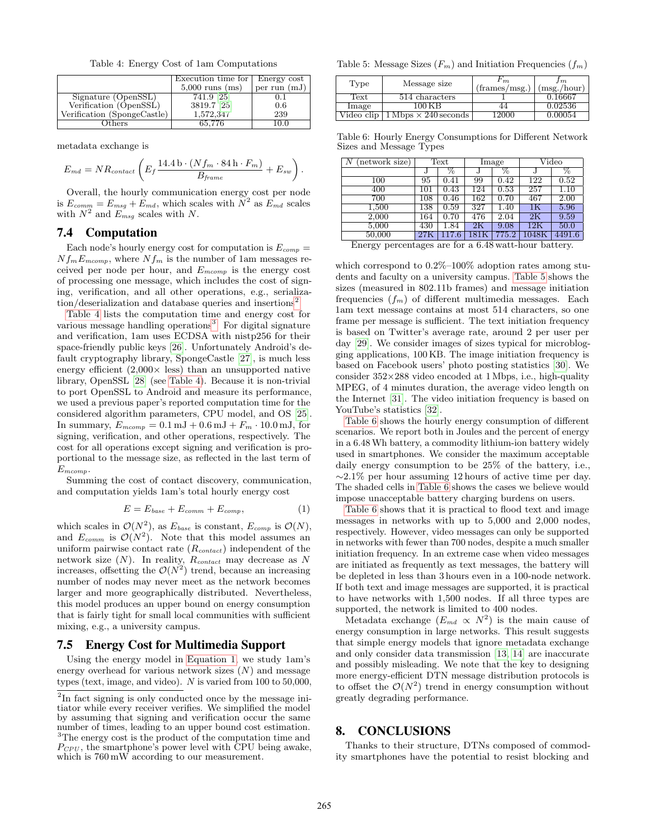Table 4: Energy Cost of 1am Computations

<span id="page-8-3"></span>

|                             | Execution time for  | Energy cost    |
|-----------------------------|---------------------|----------------|
|                             | $5,000$ runs $(ms)$ | per run $(mJ)$ |
| Signature (OpenSSL)         | $741.9$ [ $25$ ]    | 0.1            |
| Verification (OpenSSL)      | 3819.7 [25]         | 0.6            |
| Verification (SpongeCastle) | 1,572,347           | 239            |
| thers                       | 65,776              | 10 0           |

metadata exchange is

<span id="page-8-5"></span>
$$
E_{md} = NR_{contact} \left( E_f \frac{14.4 \,\mathrm{b} \cdot (N f_m \cdot 84 \,\mathrm{h} \cdot F_m)}{B_{frame}} + E_{sw} \right).
$$

Overall, the hourly communication energy cost per node is  $E_{comm} = E_{msg} + E_{md}$ , which scales with  $N^2$  as  $E_{md}$  scales with  $N^2$  and  $E_{msg}$  scales with N.

# 7.4 Computation

Each node's hourly energy cost for computation is  $E_{comp}$  =  $Nf_mE_{mcomp}$ , where  $Nf_m$  is the number of 1am messages received per node per hour, and  $E_{mcomp}$  is the energy cost of processing one message, which includes the cost of signing, verification, and all other operations, e.g., serializa- $\text{tion}/\text{deserialization}$  and database queries and insertions<sup>[2](#page-8-2)</sup>.

[Table 4](#page-8-3) lists the computation time and energy cost for various message handling operations<sup>[3](#page-8-4)</sup>. For digital signature and verification, 1am uses ECDSA with nistp256 for their space-friendly public keys [\[26\]](#page-9-25). Unfortunately Android's default cryptography library, SpongeCastle [\[27\]](#page-9-26), is much less energy efficient  $(2,000\times$  less) than an unsupported native library, OpenSSL [\[28\]](#page-9-27) (see [Table 4\)](#page-8-3). Because it is non-trivial to port OpenSSL to Android and measure its performance, we used a previous paper's reported computation time for the considered algorithm parameters, CPU model, and OS [\[25\]](#page-9-24). In summary,  $E_{mcomp} = 0.1 \text{ mJ} + 0.6 \text{ mJ} + F_m \cdot 10.0 \text{ mJ}$ , for signing, verification, and other operations, respectively. The cost for all operations except signing and verification is proportional to the message size, as reflected in the last term of  $E_{mcomp}$ .

Summing the cost of contact discovery, communication, and computation yields 1am's total hourly energy cost

$$
E = E_{base} + E_{comm} + E_{comp}, \t\t(1)
$$

which scales in  $\mathcal{O}(N^2)$ , as  $E_{base}$  is constant,  $E_{comp}$  is  $\mathcal{O}(N)$ , and  $E_{comm}$  is  $\mathcal{O}(N^2)$ . Note that this model assumes an uniform pairwise contact rate  $(R_{contact})$  independent of the network size  $(N)$ . In reality,  $R_{contact}$  may decrease as N increases, offsetting the  $\mathcal{O}(N^2)$  trend, because an increasing number of nodes may never meet as the network becomes larger and more geographically distributed. Nevertheless, this model produces an upper bound on energy consumption that is fairly tight for small local communities with sufficient mixing, e.g., a university campus.

#### 7.5 Energy Cost for Multimedia Support

Using the energy model in [Equation 1,](#page-8-5) we study 1am's energy overhead for various network sizes  $(N)$  and message types (text, image, and video). N is varied from 100 to 50,000,

<span id="page-8-1"></span>Table 5: Message Sizes  $(F_m)$  and Initiation Frequencies  $(f_m)$ 

| Type       | Message size                                      | 'm<br>$(\text{frames}/\text{msg.})$ | 1 m<br>(msg./hour) |
|------------|---------------------------------------------------|-------------------------------------|--------------------|
| Text       | 514 characters                                    |                                     | 0.16667            |
| Image      | 100 K B                                           |                                     | 0.02536            |
| Video clip | $1 \,\mathrm{Mbps} \times 240 \,\mathrm{seconds}$ | L2000                               | 0.00054            |

<span id="page-8-6"></span>Table 6: Hourly Energy Consumptions for Different Network Sizes and Message Types

| $(\text{network size})$ | Text |       | Image                    |          | Video            |              |
|-------------------------|------|-------|--------------------------|----------|------------------|--------------|
|                         |      | %     | J                        | Z        |                  | %            |
| 100                     | 95   | 0.41  | 99                       | 0.42     | $\overline{122}$ | 0.52         |
| 400                     | 101  | 0.43  | 124                      | 0.53     | 257              | 1.10         |
| 700                     | 108  | 0.46  | 162                      | 0.70     | 467              | 2.00         |
| 1,500                   | 138  | 0.59  | 327                      | 1.40     | 1K               | 5.96         |
| 2,000                   | 164  | 0.70  | 476                      | 2.04     | 2Κ               | 9.59         |
| 5,000                   | 430  | 1.84  | 2K                       | 9.08     | 12K              | 50.0         |
| 50,000                  | 27K  | 117.6 | $181\mathrm{K}$          | 775.2    | $1048\mathrm{K}$ | 4491.6       |
| <b>TT</b>               |      |       | $\sqrt{4}$<br>$\sqrt{2}$ | $\cdots$ |                  | $\mathbf{r}$ |

Energy percentages are for a 6.48 watt-hour battery.

which correspond to  $0.2\%$ –100% adoption rates among students and faculty on a university campus. [Table 5](#page-8-1) shows the sizes (measured in 802.11b frames) and message initiation frequencies  $(f_m)$  of different multimedia messages. Each 1am text message contains at most 514 characters, so one frame per message is sufficient. The text initiation frequency is based on Twitter's average rate, around 2 per user per day [\[29\]](#page-9-28). We consider images of sizes typical for microblogging applications, 100 KB. The image initiation frequency is based on Facebook users' photo posting statistics [\[30\]](#page-9-29). We consider  $352\times288$  video encoded at 1 Mbps, i.e., high-quality MPEG, of 4 minutes duration, the average video length on the Internet [\[31\]](#page-9-30). The video initiation frequency is based on YouTube's statistics [\[32\]](#page-9-31).

[Table 6](#page-8-6) shows the hourly energy consumption of different scenarios. We report both in Joules and the percent of energy in a 6.48Wh battery, a commodity lithium-ion battery widely used in smartphones. We consider the maximum acceptable daily energy consumption to be 25% of the battery, i.e.,  $\sim$ 2.1% per hour assuming 12 hours of active time per day. The shaded cells in [Table 6](#page-8-6) shows the cases we believe would impose unacceptable battery charging burdens on users.

[Table 6](#page-8-6) shows that it is practical to flood text and image messages in networks with up to 5,000 and 2,000 nodes, respectively. However, video messages can only be supported in networks with fewer than 700 nodes, despite a much smaller initiation frequency. In an extreme case when video messages are initiated as frequently as text messages, the battery will be depleted in less than 3 hours even in a 100-node network. If both text and image messages are supported, it is practical to have networks with 1,500 nodes. If all three types are supported, the network is limited to 400 nodes.

Metadata exchange  $(E_{md} \propto N^2)$  is the main cause of energy consumption in large networks. This result suggests that simple energy models that ignore metadata exchange and only consider data transmission [\[13,](#page-9-12) [14\]](#page-9-13) are inaccurate and possibly misleading. We note that the key to designing more energy-efficient DTN message distribution protocols is to offset the  $\mathcal{O}(N^2)$  trend in energy consumption without greatly degrading performance.

#### <span id="page-8-0"></span>8. CONCLUSIONS

Thanks to their structure, DTNs composed of commodity smartphones have the potential to resist blocking and

<span id="page-8-4"></span><span id="page-8-2"></span><sup>&</sup>lt;sup>2</sup>In fact signing is only conducted once by the message initiator while every receiver verifies. We simplified the model by assuming that signing and verification occur the same number of times, leading to an upper bound cost estimation. <sup>3</sup>The energy cost is the product of the computation time and  $P_{CPU}$ , the smartphone's power level with CPU being awake, which is  $760 \,\mathrm{mW}$  according to our measurement.